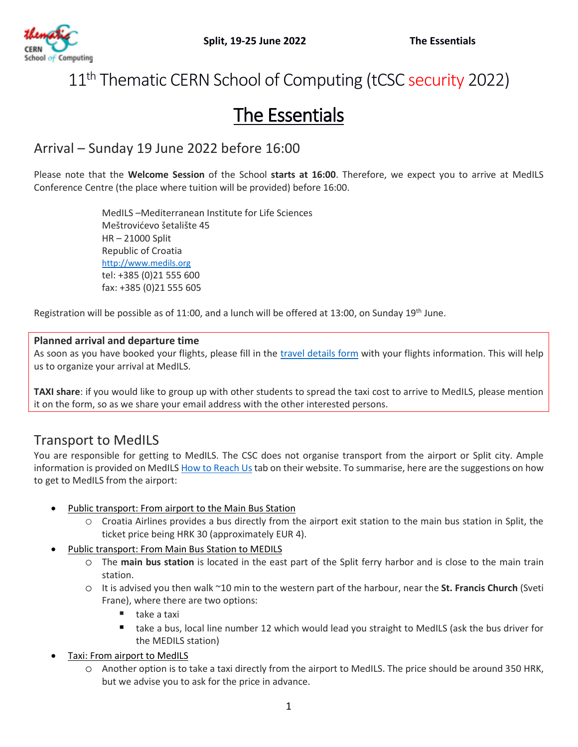

# 11<sup>th</sup> Thematic CERN School of Computing (tCSC security 2022)

# The Essentials

# Arrival – Sunday 19 June 2022 before 16:00

Please note that the **Welcome Session** of the School **starts at 16:00**. Therefore, we expect you to arrive at MedILS Conference Centre (the place where tuition will be provided) before 16:00.

> MedILS –Mediterranean Institute for Life Sciences Meštrovićevo šetalište 45 HR – 21000 Split Republic of Croatia [http://www.medils.org](http://www.medils.org/) tel: +385 (0)21 555 600 fax: +385 (0)21 555 605

Registration will be possible as of 11:00, and a lunch will be offered at 13:00, on Sunday 19<sup>th</sup> June.

### **Planned arrival and departure time**

As soon as you have booked your flights, please fill in the [travel details](https://indico.cern.ch/event/1106023/surveys/2762?token=9d88126e-4ee6-48e9-8f15-6f2dd0bd5f2a) form with your flights information. This will help us to organize your arrival at MedILS.

**TAXI share**: if you would like to group up with other students to spread the taxi cost to arrive to MedILS, please mention it on the form, so as we share your email address with the other interested persons.

## Transport to MedILS

You are responsible for getting to MedILS. The CSC does not organise transport from the airport or Split city. Ample information is provided on MedILS [How to Reach Us](https://www.medils.org/contact)tab on their website. To summarise, here are the suggestions on how to get to MedILS from the airport:

- Public transport: From airport to the Main Bus Station
	- o Croatia Airlines provides a bus directly from the airport exit station to the main bus station in Split, the ticket price being HRK 30 (approximately EUR 4).
- Public transport: From Main Bus Station to MEDILS
	- o The **main bus station** is located in the east part of the Split ferry harbor and is close to the main train station.
	- o It is advised you then walk ~10 min to the western part of the harbour, near the **St. Francis Church** (Sveti Frane), where there are two options:
		- $\blacksquare$  take a taxi
		- take a bus, local line number 12 which would lead you straight to MedILS (ask the bus driver for the MEDILS station)
- Taxi: From airport to MedILS
	- o Another option is to take a taxi directly from the airport to MedILS. The price should be around 350 HRK, but we advise you to ask for the price in advance.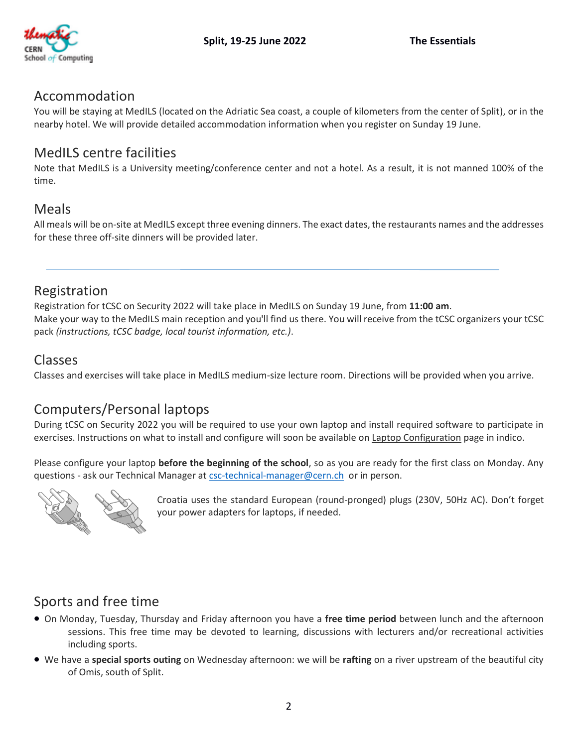

### Accommodation

You will be staying at MedILS (located on the Adriatic Sea coast, a couple of kilometers from the center of Split), or in the nearby hotel. We will provide detailed accommodation information when you register on Sunday 19 June.

## MedILS centre facilities

Note that MedILS is a University meeting/conference center and not a hotel. As a result, it is not manned 100% of the time.

## Meals

All meals will be on-site at MedILS except three evening dinners. The exact dates, the restaurants names and the addresses for these three off-site dinners will be provided later.

## Registration

Registration for tCSC on Security 2022 will take place in MedILS on Sunday 19 June, from **11:00 am**. Make your way to the MedILS main reception and you'll find us there. You will receive from the tCSC organizers your tCSC pack *(instructions, tCSC badge, local tourist information, etc.)*.

### Classes

Classes and exercises will take place in MedILS medium-size lecture room. Directions will be provided when you arrive.

# Computers/Personal laptops

During tCSC on Security 2022 you will be required to use your own laptop and install required software to participate in exercises. Instructions on what to install and configure will soon be available on Laptop Configuration page in indico.

Please configure your laptop **before the beginning of the school**, so as you are ready for the first class on Monday. Any questions - ask our Technical Manager at [csc-technical-manager@cern.ch](mailto:csc-technical-manager@cern.ch) or in person.



Croatia uses the standard European (round-pronged) plugs (230V, 50Hz AC). Don't forget your power adapters for laptops, if needed.

# Sports and free time

- On Monday, Tuesday, Thursday and Friday afternoon you have a **free time period** between lunch and the afternoon sessions. This free time may be devoted to learning, discussions with lecturers and/or recreational activities including sports.
- We have a **special sports outing** on Wednesday afternoon: we will be **rafting** on a river upstream of the beautiful city of Omis, south of Split.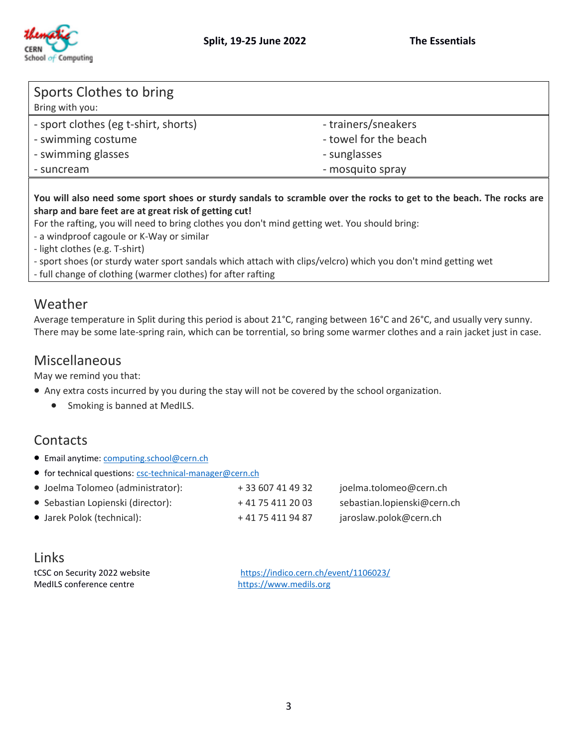



| Sports Clothes to bring<br>Bring with you: |                       |
|--------------------------------------------|-----------------------|
| - sport clothes (eg t-shirt, shorts)       | - trainers/sneakers   |
| - swimming costume                         | - towel for the beach |
| - swimming glasses                         | - sunglasses          |
| - suncream                                 | - mosquito spray      |

### **You will also need some sport shoes or sturdy sandals to scramble over the rocks to get to the beach. The rocks are sharp and bare feet are at great risk of getting cut!**

For the rafting, you will need to bring clothes you don't mind getting wet. You should bring:

- a windproof cagoule or K-Way or similar
- light clothes (e.g. T-shirt)
- sport shoes (or sturdy water sport sandals which attach with clips/velcro) which you don't mind getting wet
- full change of clothing (warmer clothes) for after rafting

### Weather

Average temperature in Split during this period is about 21°C, ranging between 16°C and 26°C, and usually very sunny. There may be some late-spring rain, which can be torrential, so bring some warmer clothes and a rain jacket just in case.

### Miscellaneous

May we remind you that:

- Any extra costs incurred by you during the stay will not be covered by the school organization.
	- Smoking is banned at MedILS.

# **Contacts**

- Email anytime[: computing.school@cern.ch](mailto:computing.school@cern.ch)
- for technical questions: [csc-technical-manager@cern.ch](mailto:csc-technical-manager@cern.ch)

| • Joelma Tolomeo (administrator): | + 33 607 41 49 32 | joelma.tolomeo@cern.ch      |
|-----------------------------------|-------------------|-----------------------------|
| • Sebastian Lopienski (director): | + 41 75 411 20 03 | sebastian.lopienski@cern.ch |
| • Jarek Polok (technical):        | + 41 75 411 94 87 | jaroslaw.polok@cern.ch      |

| Links                   |  |
|-------------------------|--|
| tCSC on Security 2022 w |  |

tCSC on Security 2022 website<br>
MedILS conference centre<br>
https://www.medils.org<br>
https://www.medils.org [https://www.medils.org](http://www.medils.org/)